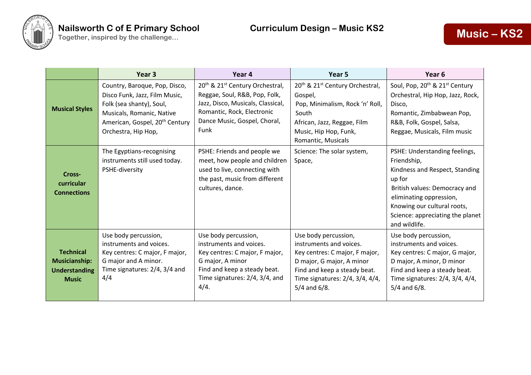

|                                                                                  | Year <sub>3</sub>                                                                                                                                                                            | Year 4                                                                                                                                                                                              | Year 5                                                                                                                                                                                                 | Year <sub>6</sub>                                                                                                                                                                                                                        |
|----------------------------------------------------------------------------------|----------------------------------------------------------------------------------------------------------------------------------------------------------------------------------------------|-----------------------------------------------------------------------------------------------------------------------------------------------------------------------------------------------------|--------------------------------------------------------------------------------------------------------------------------------------------------------------------------------------------------------|------------------------------------------------------------------------------------------------------------------------------------------------------------------------------------------------------------------------------------------|
| <b>Musical Styles</b>                                                            | Country, Baroque, Pop, Disco,<br>Disco Funk, Jazz, Film Music,<br>Folk (sea shanty), Soul,<br>Musicals, Romanic, Native<br>American, Gospel, 20 <sup>th</sup> Century<br>Orchestra, Hip Hop, | 20 <sup>th</sup> & 21 <sup>st</sup> Century Orchestral,<br>Reggae, Soul, R&B, Pop, Folk,<br>Jazz, Disco, Musicals, Classical,<br>Romantic, Rock, Electronic<br>Dance Music, Gospel, Choral,<br>Funk | 20 <sup>th</sup> & 21 <sup>st</sup> Century Orchestral,<br>Gospel,<br>Pop, Minimalism, Rock 'n' Roll,<br>South<br>African, Jazz, Reggae, Film<br>Music, Hip Hop, Funk,<br>Romantic, Musicals           | Soul, Pop, 20 <sup>th</sup> & 21 <sup>st</sup> Century<br>Orchestral, Hip Hop, Jazz, Rock,<br>Disco,<br>Romantic, Zimbabwean Pop,<br>R&B, Folk, Gospel, Salsa,<br>Reggae, Musicals, Film music                                           |
| Cross-<br>curricular<br><b>Connections</b>                                       | The Egyptians-recognising<br>instruments still used today.<br>PSHE-diversity                                                                                                                 | PSHE: Friends and people we<br>meet, how people and children<br>used to live, connecting with<br>the past, music from different<br>cultures, dance.                                                 | Science: The solar system,<br>Space,                                                                                                                                                                   | PSHE: Understanding feelings,<br>Friendship,<br>Kindness and Respect, Standing<br>up for<br>British values: Democracy and<br>eliminating oppression,<br>Knowing our cultural roots,<br>Science: appreciating the planet<br>and wildlife. |
| <b>Technical</b><br><b>Musicianship:</b><br><b>Understanding</b><br><b>Music</b> | Use body percussion,<br>instruments and voices.<br>Key centres: C major, F major,<br>G major and A minor.<br>Time signatures: 2/4, 3/4 and<br>4/4                                            | Use body percussion,<br>instruments and voices.<br>Key centres: C major, F major,<br>G major, A minor<br>Find and keep a steady beat.<br>Time signatures: 2/4, 3/4, and<br>4/4.                     | Use body percussion,<br>instruments and voices.<br>Key centres: C major, F major,<br>D major, G major, A minor<br>Find and keep a steady beat.<br>Time signatures: 2/4, 3/4, 4/4,<br>$5/4$ and $6/8$ . | Use body percussion,<br>instruments and voices.<br>Key centres: C major, G major,<br>D major, A minor, D minor<br>Find and keep a steady beat.<br>Time signatures: 2/4, 3/4, 4/4,<br>$5/4$ and $6/8$ .                                   |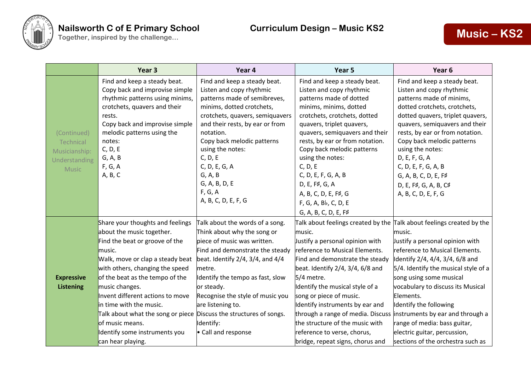

|                   | Year 3                                                             | Year 4                                   | Year 5                                                                        | Year <sub>6</sub>                    |
|-------------------|--------------------------------------------------------------------|------------------------------------------|-------------------------------------------------------------------------------|--------------------------------------|
|                   | Find and keep a steady beat.                                       | Find and keep a steady beat.             | Find and keep a steady beat.                                                  | Find and keep a steady beat.         |
|                   | Copy back and improvise simple                                     | Listen and copy rhythmic                 | Listen and copy rhythmic                                                      | Listen and copy rhythmic             |
|                   | rhythmic patterns using minims,                                    | patterns made of semibreves,             | patterns made of dotted                                                       | patterns made of minims,             |
|                   | crotchets, quavers and their                                       | minims, dotted crotchets,                | minims, minims, dotted                                                        | dotted crotchets, crotchets,         |
|                   | rests.                                                             | crotchets, quavers, semiquavers          | crotchets, crotchets, dotted                                                  | dotted quavers, triplet quavers,     |
|                   | Copy back and improvise simple                                     | and their rests, by ear or from          | quavers, triplet quavers,                                                     | quavers, semiquavers and their       |
| (Continued)       | melodic patterns using the                                         | notation.                                | quavers, semiquavers and their                                                | rests, by ear or from notation.      |
| Technical         | notes:                                                             | Copy back melodic patterns               | rests, by ear or from notation.                                               | Copy back melodic patterns           |
| Musicianship:     | C, D, E                                                            | using the notes:                         | Copy back melodic patterns                                                    | using the notes:                     |
| Understanding     | G, A, B                                                            | C, D, E                                  | using the notes:                                                              | D, E, F, G, A                        |
| <b>Music</b>      | F, G, A                                                            | C, D, E, G, A                            | C, D, E                                                                       | C, D, E, F, G, A, B                  |
|                   | A, B, C                                                            | G, A, B                                  | C, D, E, F, G, A, B                                                           | G, A, B, C, D, E, F#                 |
|                   |                                                                    | G, A, B, D, E                            | D, E, F#, G, A                                                                | D, E, F#, G, A, B, C#                |
|                   |                                                                    | F, G, A                                  | A, B, C, D, E, F#, G                                                          | A, B, C, D, E, F, G                  |
|                   |                                                                    | A, B, C, D, E, F, G                      | F, G, A, Bb, C, D, E                                                          |                                      |
|                   |                                                                    |                                          | G, A, B, C, D, E, F#                                                          |                                      |
|                   | Share your thoughts and feelings                                   | Talk about the words of a song.          | Talk about feelings created by the $\vert$ Talk about feelings created by the |                                      |
|                   | about the music together.                                          | Think about why the song or              | music.                                                                        | music.                               |
|                   | Find the beat or groove of the                                     | piece of music was written.              | Justify a personal opinion with                                               | Justify a personal opinion with      |
|                   | music.                                                             | Find and demonstrate the steady          | reference to Musical Elements.                                                | reference to Musical Elements.       |
|                   | Walk, move or clap a steady beat                                   | beat. Identify $2/4$ , $3/4$ , and $4/4$ | Find and demonstrate the steady                                               | Identify 2/4, 4/4, 3/4, 6/8 and      |
|                   | with others, changing the speed                                    | metre.                                   | beat. Identify 2/4, 3/4, 6/8 and                                              | 5/4. Identify the musical style of a |
| <b>Expressive</b> | of the beat as the tempo of the                                    | Identify the tempo as fast, slow         | 5/4 metre.                                                                    | song using some musical              |
| <b>Listening</b>  | music changes.                                                     | or steady.                               | Identify the musical style of a                                               | vocabulary to discuss its Musical    |
|                   | Invent different actions to move                                   | Recognise the style of music you         | song or piece of music.                                                       | Elements.                            |
|                   | in time with the music.                                            | are listening to.                        | Identify instruments by ear and                                               | Identify the following               |
|                   | Talk about what the song or piece Discuss the structures of songs. |                                          | through a range of media. Discuss linstruments by ear and through a           |                                      |
|                   | of music means.                                                    | Identify:                                | the structure of the music with                                               | range of media: bass guitar,         |
|                   | Identify some instruments you                                      | • Call and response                      | reference to verse, chorus,                                                   | electric guitar, percussion,         |
|                   | can hear playing.                                                  |                                          | bridge, repeat signs, chorus and                                              | sections of the orchestra such as    |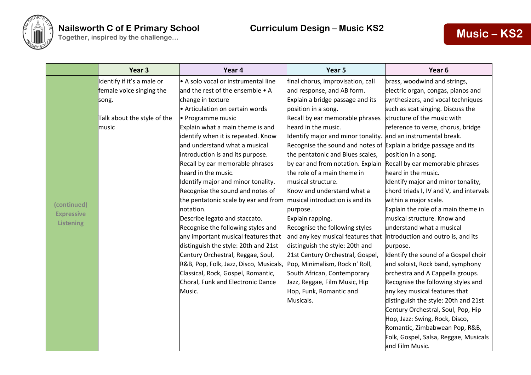

## **Nailsworth C of E Primary School Curriculum Design – Music KS2**

|                   | Year <sub>3</sub>           | Year 4                                                                       | Year 5                                                            | Year <sub>6</sub>                       |
|-------------------|-----------------------------|------------------------------------------------------------------------------|-------------------------------------------------------------------|-----------------------------------------|
|                   | Identify if it's a male or  | A solo vocal or instrumental line                                            | final chorus, improvisation, call                                 | brass, woodwind and strings,            |
|                   | female voice singing the    | and the rest of the ensemble • A                                             | and response, and AB form.                                        | electric organ, congas, pianos and      |
|                   | song.                       | change in texture                                                            | Explain a bridge passage and its                                  | synthesizers, and vocal techniques      |
|                   |                             | Articulation on certain words                                                | position in a song.                                               | such as scat singing. Discuss the       |
|                   | Talk about the style of the | • Programme music                                                            | Recall by ear memorable phrases                                   | structure of the music with             |
|                   | music                       | Explain what a main theme is and                                             | heard in the music.                                               | reference to verse, chorus, bridge      |
|                   |                             | identify when it is repeated. Know                                           | Identify major and minor tonality. and an instrumental break.     |                                         |
|                   |                             | and understand what a musical                                                | Recognise the sound and notes of Explain a bridge passage and its |                                         |
|                   |                             | introduction is and its purpose.                                             | the pentatonic and Blues scales,                                  | position in a song.                     |
|                   |                             | Recall by ear memorable phrases                                              | by ear and from notation. Explain                                 | Recall by ear memorable phrases         |
|                   |                             | heard in the music.                                                          | the role of a main theme in                                       | heard in the music.                     |
|                   |                             | Identify major and minor tonality.                                           | musical structure.                                                | Identify major and minor tonality,      |
|                   |                             | Recognise the sound and notes of                                             | Know and understand what a                                        | chord triads I, IV and V, and intervals |
| (continued)       |                             | the pentatonic scale by ear and from $\vert$ musical introduction is and its |                                                                   | within a major scale.                   |
| <b>Expressive</b> |                             | notation.                                                                    | purpose.                                                          | Explain the role of a main theme in     |
| <b>Listening</b>  |                             | Describe legato and staccato.                                                | Explain rapping.                                                  | musical structure. Know and             |
|                   |                             | Recognise the following styles and                                           | Recognise the following styles                                    | understand what a musical               |
|                   |                             | any important musical features that                                          | and any key musical features that                                 | introduction and outro is, and its      |
|                   |                             | distinguish the style: 20th and 21st                                         | distinguish the style: 20th and                                   | purpose.                                |
|                   |                             | Century Orchestral, Reggae, Soul,                                            | 21st Century Orchestral, Gospel,                                  | Identify the sound of a Gospel choir    |
|                   |                             | R&B, Pop, Folk, Jazz, Disco, Musicals,                                       | Pop, Minimalism, Rock n' Roll,                                    | and soloist, Rock band, symphony        |
|                   |                             | Classical, Rock, Gospel, Romantic,                                           | South African, Contemporary                                       | orchestra and A Cappella groups.        |
|                   |                             | Choral, Funk and Electronic Dance                                            | Jazz, Reggae, Film Music, Hip                                     | Recognise the following styles and      |
|                   |                             | Music.                                                                       | Hop, Funk, Romantic and                                           | any key musical features that           |
|                   |                             |                                                                              | Musicals.                                                         | distinguish the style: 20th and 21st    |
|                   |                             |                                                                              |                                                                   | Century Orchestral, Soul, Pop, Hip      |
|                   |                             |                                                                              |                                                                   | Hop, Jazz: Swing, Rock, Disco,          |
|                   |                             |                                                                              |                                                                   | Romantic, Zimbabwean Pop, R&B,          |
|                   |                             |                                                                              |                                                                   | Folk, Gospel, Salsa, Reggae, Musicals   |
|                   |                             |                                                                              |                                                                   | and Film Music.                         |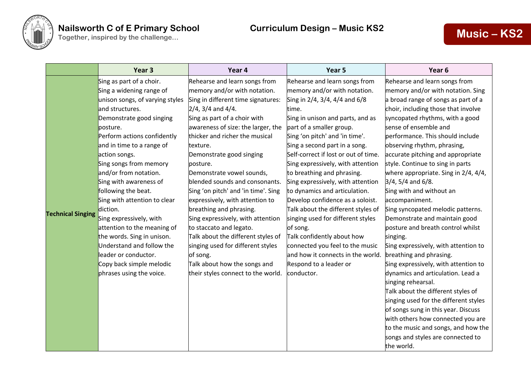

|                          | Year <sub>3</sub>               | Year 4                              | Year 5                               | Year <sub>6</sub>                     |
|--------------------------|---------------------------------|-------------------------------------|--------------------------------------|---------------------------------------|
|                          | Sing as part of a choir.        | Rehearse and learn songs from       | Rehearse and learn songs from        | Rehearse and learn songs from         |
|                          | Sing a widening range of        | memory and/or with notation.        | memory and/or with notation.         | memory and/or with notation. Sing     |
|                          | unison songs, of varying styles | Sing in different time signatures:  | Sing in 2/4, 3/4, 4/4 and 6/8        | a broad range of songs as part of a   |
|                          | and structures.                 | $2/4$ , 3/4 and 4/4.                | time.                                | choir, including those that involve   |
|                          | Demonstrate good singing        | Sing as part of a choir with        | Sing in unison and parts, and as     | syncopated rhythms, with a good       |
|                          | posture.                        | awareness of size: the larger, the  | part of a smaller group.             | sense of ensemble and                 |
|                          | Perform actions confidently     | thicker and richer the musical      | Sing 'on pitch' and 'in time'.       | performance. This should include      |
|                          | and in time to a range of       | texture.                            | Sing a second part in a song.        | observing rhythm, phrasing,           |
|                          | action songs.                   | Demonstrate good singing            | Self-correct if lost or out of time. | accurate pitching and appropriate     |
|                          | Sing songs from memory          | posture.                            | Sing expressively, with attention    | style. Continue to sing in parts      |
|                          | and/or from notation.           | Demonstrate vowel sounds,           | to breathing and phrasing.           | where appropriate. Sing in 2/4, 4/4,  |
|                          | Sing with awareness of          | blended sounds and consonants.      | Sing expressively, with attention    | $3/4$ , 5/4 and 6/8.                  |
|                          | following the beat.             | Sing 'on pitch' and 'in time'. Sing | to dynamics and articulation.        | Sing with and without an              |
|                          | Sing with attention to clear    | expressively, with attention to     | Develop confidence as a soloist.     | accompaniment.                        |
| <b>Technical Singing</b> | diction.                        | breathing and phrasing.             | Talk about the different styles of   | Sing syncopated melodic patterns.     |
|                          | Sing expressively, with         | Sing expressively, with attention   | singing used for different styles    | Demonstrate and maintain good         |
|                          | attention to the meaning of     | to staccato and legato.             | of song.                             | posture and breath control whilst     |
|                          | the words. Sing in unison.      | Talk about the different styles of  | Talk confidently about how           | singing.                              |
|                          | Understand and follow the       | singing used for different styles   | connected you feel to the music      | Sing expressively, with attention to  |
|                          | leader or conductor.            | of song.                            | and how it connects in the world.    | breathing and phrasing.               |
|                          | Copy back simple melodic        | Talk about how the songs and        | Respond to a leader or               | Sing expressively, with attention to  |
|                          | phrases using the voice.        | their styles connect to the world.  | conductor.                           | dynamics and articulation. Lead a     |
|                          |                                 |                                     |                                      | singing rehearsal.                    |
|                          |                                 |                                     |                                      | Talk about the different styles of    |
|                          |                                 |                                     |                                      | singing used for the different styles |
|                          |                                 |                                     |                                      | of songs sung in this year. Discuss   |
|                          |                                 |                                     |                                      | with others how connected you are     |
|                          |                                 |                                     |                                      | to the music and songs, and how the   |
|                          |                                 |                                     |                                      | songs and styles are connected to     |
|                          |                                 |                                     |                                      | the world.                            |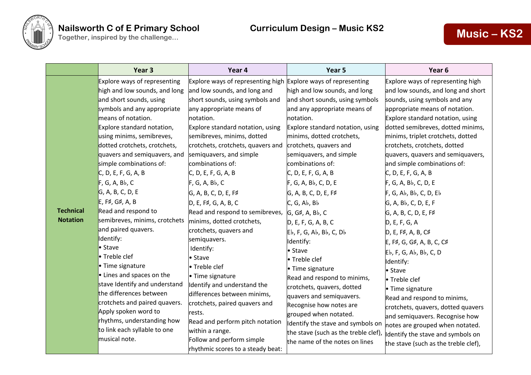

|                                     | Year 3                                                                                                                                                                                                                                                                                                                                                                                                                                                                                                                          | Year 4                                                                                                                                                                                                                                                                                                                                                                                                                                                                                                                                                                       | Year 5                                                                                                                                                                                                                                                                                                                                                                                                                                                                                | Year <sub>6</sub>                                                                                                                                                                                                                                                                                                                                                                                                                                                                                                                                                                                             |
|-------------------------------------|---------------------------------------------------------------------------------------------------------------------------------------------------------------------------------------------------------------------------------------------------------------------------------------------------------------------------------------------------------------------------------------------------------------------------------------------------------------------------------------------------------------------------------|------------------------------------------------------------------------------------------------------------------------------------------------------------------------------------------------------------------------------------------------------------------------------------------------------------------------------------------------------------------------------------------------------------------------------------------------------------------------------------------------------------------------------------------------------------------------------|---------------------------------------------------------------------------------------------------------------------------------------------------------------------------------------------------------------------------------------------------------------------------------------------------------------------------------------------------------------------------------------------------------------------------------------------------------------------------------------|---------------------------------------------------------------------------------------------------------------------------------------------------------------------------------------------------------------------------------------------------------------------------------------------------------------------------------------------------------------------------------------------------------------------------------------------------------------------------------------------------------------------------------------------------------------------------------------------------------------|
| <b>Technical</b><br><b>Notation</b> | Explore ways of representing<br>high and low sounds, and long<br>and short sounds, using<br>symbols and any appropriate<br>means of notation.<br>Explore standard notation,<br>using minims, semibreves,<br>dotted crotchets, crotchets,<br>quavers and semiquavers, and<br>simple combinations of:<br>C, D, E, F, G, A, B<br>F, G, A, Bb, C<br>G, A, B, C, D, E<br>E, F#, G#, A, B<br>Read and respond to<br>semibreves, minims, crotchets<br>and paired quavers.<br>Identify:<br>• Stave<br>• Treble clef<br>• Time signature | Explore ways of representing high Explore ways of representing<br>and low sounds, and long and<br>short sounds, using symbols and<br>any appropriate means of<br>notation.<br>Explore standard notation, using<br>semibreves, minims, dotted<br>crotchets, crotchets, quavers and<br>semiquavers, and simple<br>combinations of:<br>C, D, E, F, G, A, B<br>F, G, A, Bb, C<br>G, A, B, C, D, E, F#<br>D, E, F#, G, A, B, C<br>Read and respond to semibreves,<br>minims, dotted crotchets,<br>crotchets, quavers and<br>semiquavers.<br>Identify:<br>• Stave<br>• Treble clef | high and low sounds, and long<br>and short sounds, using symbols<br>and any appropriate means of<br>notation.<br>Explore standard notation, using<br>minims, dotted crotchets,<br>crotchets, quavers and<br>semiquavers, and simple<br>combinations of:<br>C, D, E, F, G, A, B<br>$F, G, A, B$ , C, D, E<br>G, A, B, C, D, E, F#<br>C, G, Ab, Bb<br>G, G#, A, Bb, C<br>D, E, F, G, A, B, C<br>$Eb$ , F, G, Ab, Bb, C, Db<br>Identify:<br>• Stave<br>• Treble clef<br>• Time signature | Explore ways of representing high<br>and low sounds, and long and short<br>sounds, using symbols and any<br>appropriate means of notation.<br>Explore standard notation, using<br>dotted semibreves, dotted minims,<br>minims, triplet crotchets, dotted<br>crotchets, crotchets, dotted<br>quavers, quavers and semiquavers,<br>and simple combinations of:<br>C, D, E, F, G, A, B<br>$F, G, A, B$ , C, D, E<br>F, G, Ab, Bb, C, D, Eb<br>G, A, Bb, C, D, E, F<br>G, A, B, C, D, E, F#<br>D, E, F, G, A<br>D, E, F#, A, B, C#<br>E, F#, G, G#, A, B, C, C#<br>Eb, F, G, Ab, Bb, C, D<br>Identify:<br>• Stave |
|                                     | • Lines and spaces on the<br>stave Identify and understand<br>the differences between<br>crotchets and paired quavers.<br>Apply spoken word to<br>rhythms, understanding how<br>to link each syllable to one<br>musical note.                                                                                                                                                                                                                                                                                                   | • Time signature<br>Identify and understand the<br>differences between minims,<br>crotchets, paired quavers and<br>rests.<br>Read and perform pitch notation<br>within a range.<br>Follow and perform simple<br>rhythmic scores to a steady beat:                                                                                                                                                                                                                                                                                                                            | Read and respond to minims,<br>crotchets, quavers, dotted<br>quavers and semiquavers.<br>Recognise how notes are<br>grouped when notated.<br>Identify the stave and symbols on<br>the stave (such as the treble clef),<br>the name of the notes on lines                                                                                                                                                                                                                              | • Treble clef<br>• Time signature<br>Read and respond to minims,<br>crotchets, quavers, dotted quavers<br>and semiquavers. Recognise how<br>notes are grouped when notated.<br>Identify the stave and symbols on<br>the stave (such as the treble clef),                                                                                                                                                                                                                                                                                                                                                      |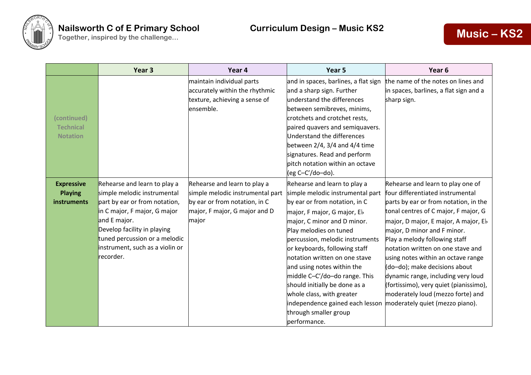

|                                                    | Year 3                                                                                                                                                                                                                                                       | Year 4                                                                                                                                      | Year 5                                                                                                                                                                                                                                                                                                                                                                                                                                                                                                  | Year <sub>6</sub>                                                                                                                                                                                                                                                                                                                                                                                                                                                                                                                  |
|----------------------------------------------------|--------------------------------------------------------------------------------------------------------------------------------------------------------------------------------------------------------------------------------------------------------------|---------------------------------------------------------------------------------------------------------------------------------------------|---------------------------------------------------------------------------------------------------------------------------------------------------------------------------------------------------------------------------------------------------------------------------------------------------------------------------------------------------------------------------------------------------------------------------------------------------------------------------------------------------------|------------------------------------------------------------------------------------------------------------------------------------------------------------------------------------------------------------------------------------------------------------------------------------------------------------------------------------------------------------------------------------------------------------------------------------------------------------------------------------------------------------------------------------|
| (continued)<br><b>Technical</b><br><b>Notation</b> |                                                                                                                                                                                                                                                              | maintain individual parts<br>accurately within the rhythmic<br>texture, achieving a sense of<br>ensemble.                                   | and in spaces, barlines, a flat sign<br>and a sharp sign. Further<br>understand the differences<br>between semibreves, minims,<br>crotchets and crotchet rests,<br>paired quavers and semiquavers.<br>Understand the differences<br>between $2/4$ , $3/4$ and $4/4$ time<br>signatures. Read and perform<br>pitch notation within an octave<br>(eg C-C'/do-do).                                                                                                                                         | the name of the notes on lines and<br>in spaces, barlines, a flat sign and a<br>sharp sign.                                                                                                                                                                                                                                                                                                                                                                                                                                        |
| <b>Expressive</b><br><b>Playing</b><br>instruments | Rehearse and learn to play a<br>simple melodic instrumental<br>part by ear or from notation,<br>in C major, F major, G major<br>and E major.<br>Develop facility in playing<br>tuned percussion or a melodic<br>instrument, such as a violin or<br>recorder. | Rehearse and learn to play a<br>simple melodic instrumental part<br>by ear or from notation, in C<br>major, F major, G major and D<br>major | Rehearse and learn to play a<br>simple melodic instrumental part<br>by ear or from notation, in C<br>major, F major, G major, Eb<br>major, C minor and D minor.<br>Play melodies on tuned<br>percussion, melodic instruments<br>or keyboards, following staff<br>notation written on one stave<br>and using notes within the<br>middle C-C'/do-do range. This<br>should initially be done as a<br>whole class, with greater<br>independence gained each lesson<br>through smaller group<br>performance. | Rehearse and learn to play one of<br>four differentiated instrumental<br>parts by ear or from notation, in the<br>tonal centres of C major, F major, G<br>major, D major, E major, A major, Eb<br>major, D minor and F minor.<br>Play a melody following staff<br>notation written on one stave and<br>using notes within an octave range<br>(do-do); make decisions about<br>dynamic range, including very loud<br>(fortissimo), very quiet (pianissimo),<br>moderately loud (mezzo forte) and<br>moderately quiet (mezzo piano). |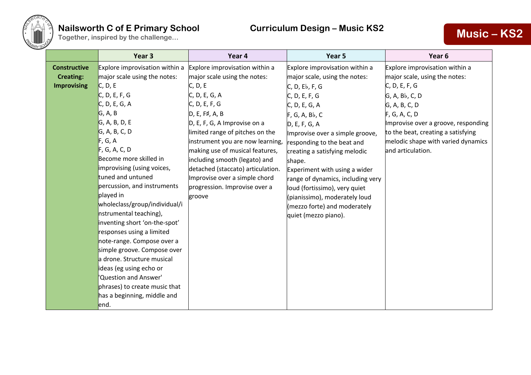

## **Nailsworth C of E Primary School Curriculum Design – Music KS2**

# **Together, inspired by the challenge...**<br> **Together, inspired by the challenge...**<br> **Music – KS2**

|                     | Year <sub>3</sub>              | Year 4                            | Year 5                            | Year <sub>6</sub>                   |
|---------------------|--------------------------------|-----------------------------------|-----------------------------------|-------------------------------------|
| <b>Constructive</b> | Explore improvisation within a | Explore improvisation within a    | Explore improvisation within a    | Explore improvisation within a      |
| <b>Creating:</b>    | major scale using the notes:   | major scale using the notes:      | major scale, using the notes:     | major scale, using the notes:       |
| <b>Improvising</b>  | C, D, E                        | C, D, E                           | C, D, E <sub>b</sub> , F, G       | C, D, E, F, G                       |
|                     | C, D, E, F, G                  | C, D, E, G, A                     | C, D, E, F, G                     | G, A, Bb, C, D                      |
|                     | C, D, E, G, A                  | C, D, E, F, G                     | C, D, E, G, A                     | G, A, B, C, D                       |
|                     | G, A, B                        | D, E, F#, A, B                    | F, G, A, Bb, C                    | F, G, A, C, D                       |
|                     | G, A, B, D, E                  | D, E, F, G, A Improvise on a      | D, E, F, G, A                     | Improvise over a groove, responding |
|                     | G, A, B, C, D                  | limited range of pitches on the   | Improvise over a simple groove,   | to the beat, creating a satisfying  |
|                     | F, G, A                        | instrument you are now learning,  | responding to the beat and        | melodic shape with varied dynamics  |
|                     | F, G, A, C, D                  | making use of musical features,   | creating a satisfying melodic     | and articulation.                   |
|                     | Become more skilled in         | including smooth (legato) and     | shape.                            |                                     |
|                     | improvising (using voices,     | detached (staccato) articulation. | Experiment with using a wider     |                                     |
|                     | tuned and untuned              | Improvise over a simple chord     | range of dynamics, including very |                                     |
|                     | percussion, and instruments    | progression. Improvise over a     | loud (fortissimo), very quiet     |                                     |
|                     | played in                      | groove                            | (pianissimo), moderately loud     |                                     |
|                     | wholeclass/group/individual/i  |                                   | (mezzo forte) and moderately      |                                     |
|                     | nstrumental teaching),         |                                   | quiet (mezzo piano).              |                                     |
|                     | inventing short 'on-the-spot'  |                                   |                                   |                                     |
|                     | responses using a limited      |                                   |                                   |                                     |
|                     | note-range. Compose over a     |                                   |                                   |                                     |
|                     | simple groove. Compose over    |                                   |                                   |                                     |
|                     | a drone. Structure musical     |                                   |                                   |                                     |
|                     | ideas (eg using echo or        |                                   |                                   |                                     |
|                     | 'Question and Answer'          |                                   |                                   |                                     |
|                     | phrases) to create music that  |                                   |                                   |                                     |
|                     | has a beginning, middle and    |                                   |                                   |                                     |
|                     | end.                           |                                   |                                   |                                     |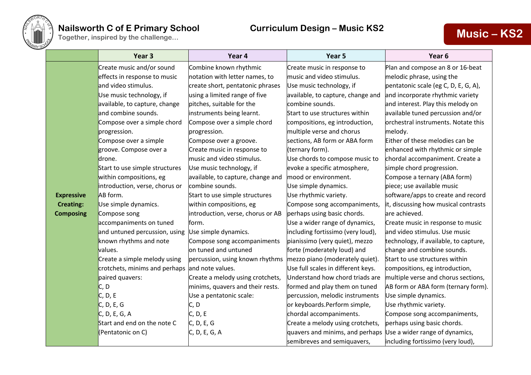

### **Nailsworth C of E Primary School Curriculum Design – Music KS2 Together, inspired by the challenge...**<br> **Together, inspired by the challenge...**<br> **Music – KS2**

|                   | Year <sub>3</sub>                              | Year 4                            | Year 5                             | Year <sub>6</sub>                     |
|-------------------|------------------------------------------------|-----------------------------------|------------------------------------|---------------------------------------|
|                   | Create music and/or sound                      | Combine known rhythmic            | Create music in response to        | Plan and compose an 8 or 16-beat      |
|                   | effects in response to music                   | notation with letter names, to    | music and video stimulus.          | melodic phrase, using the             |
|                   | and video stimulus.                            | create short, pentatonic phrases  | Use music technology, if           | pentatonic scale (eg C, D, E, G, A),  |
|                   | Use music technology, if                       | using a limited range of five     | available, to capture, change and  | and incorporate rhythmic variety      |
|                   | available, to capture, change                  | pitches, suitable for the         | combine sounds.                    | and interest. Play this melody on     |
|                   | and combine sounds.                            | instruments being learnt.         | Start to use structures within     | available tuned percussion and/or     |
|                   | Compose over a simple chord                    | Compose over a simple chord       | compositions, eg introduction,     | orchestral instruments. Notate this   |
|                   | progression.                                   | progression.                      | multiple verse and chorus          | melody.                               |
|                   | Compose over a simple                          | Compose over a groove.            | sections, AB form or ABA form      | Either of these melodies can be       |
|                   | groove. Compose over a                         | Create music in response to       | (ternary form).                    | enhanced with rhythmic or simple      |
|                   | drone.                                         | music and video stimulus.         | Use chords to compose music to     | chordal accompaniment. Create a       |
|                   | Start to use simple structures                 | Use music technology, if          | evoke a specific atmosphere,       | simple chord progression.             |
|                   | within compositions, eg                        | available, to capture, change and | mood or environment.               | Compose a ternary (ABA form)          |
|                   | introduction, verse, chorus or                 | combine sounds.                   | Use simple dynamics.               | piece; use available music            |
| <b>Expressive</b> | AB form.                                       | Start to use simple structures    | Use rhythmic variety.              | software/apps to create and record    |
| <b>Creating:</b>  | Use simple dynamics.                           | within compositions, eg           | Compose song accompaniments,       | it, discussing how musical contrasts  |
| <b>Composing</b>  | Compose song                                   | introduction, verse, chorus or AB | perhaps using basic chords.        | are achieved.                         |
|                   | accompaniments on tuned                        | form.                             | Use a wider range of dynamics,     | Create music in response to music     |
|                   | and untuned percussion, using                  | Use simple dynamics.              | including fortissimo (very loud),  | and video stimulus. Use music         |
|                   | known rhythms and note                         | Compose song accompaniments       | pianissimo (very quiet), mezzo     | technology, if available, to capture, |
|                   | values.                                        | on tuned and untuned              | forte (moderately loud) and        | change and combine sounds.            |
|                   | Create a simple melody using                   | percussion, using known rhythms   | mezzo piano (moderately quiet).    | Start to use structures within        |
|                   | crotchets, minims and perhaps and note values. |                                   | Use full scales in different keys. | compositions, eg introduction,        |
|                   | paired quavers:                                | Create a melody using crotchets,  | Understand how chord triads are    | multiple verse and chorus sections,   |
|                   | C, D                                           | minims, quavers and their rests.  | formed and play them on tuned      | AB form or ABA form (ternary form).   |
|                   | C, D, E                                        | Use a pentatonic scale:           | percussion, melodic instruments    | Use simple dynamics.                  |
|                   | C, D, E, G                                     | C, D                              | or keyboards.Perform simple,       | Use rhythmic variety.                 |
|                   | C, D, E, G, A                                  | C, D, E                           | chordal accompaniments.            | Compose song accompaniments,          |
|                   | Start and end on the note C                    | C, D, E, G                        | Create a melody using crotchets,   | perhaps using basic chords.           |
|                   | (Pentatonic on C)                              | C, D, E, G, A                     | quavers and minims, and perhaps    | Use a wider range of dynamics,        |
|                   |                                                |                                   | semibreves and semiquavers,        | including fortissimo (very loud),     |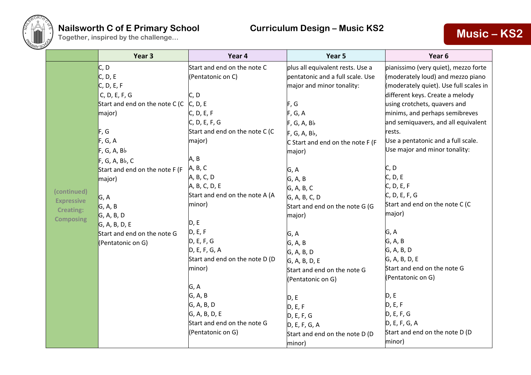

**(continued)**

### **Nailsworth C of E Primary School Curriculum Design – Music KS2 Together, inspired by the challenge...**<br> **Together, inspired by the challenge...**<br> **Music – KS2**

|                                                                          | Year 3                                                                                                                                                                                                                                                                                          | Year 4                                                                                                                                                                                                                                                                                                                                                                                                                                           | Year 5                                                                                                                                                                                                                                                                                                                                                                                                                                                                                                | Year 6                                                                                                                                                                                                                                                                                                                                                                                                                                                                                                                                                                                                                                             |
|--------------------------------------------------------------------------|-------------------------------------------------------------------------------------------------------------------------------------------------------------------------------------------------------------------------------------------------------------------------------------------------|--------------------------------------------------------------------------------------------------------------------------------------------------------------------------------------------------------------------------------------------------------------------------------------------------------------------------------------------------------------------------------------------------------------------------------------------------|-------------------------------------------------------------------------------------------------------------------------------------------------------------------------------------------------------------------------------------------------------------------------------------------------------------------------------------------------------------------------------------------------------------------------------------------------------------------------------------------------------|----------------------------------------------------------------------------------------------------------------------------------------------------------------------------------------------------------------------------------------------------------------------------------------------------------------------------------------------------------------------------------------------------------------------------------------------------------------------------------------------------------------------------------------------------------------------------------------------------------------------------------------------------|
| (continued)<br><b>Expressive</b><br><b>Creating:</b><br><b>Composing</b> | C, D<br>C, D, E<br>C, D, E, F<br>C, D, E, F, G<br>Start and end on the note C (C<br>major)<br>F, G<br>F, G, A<br>F, G, A, B<br>F, G, A, Bb, C<br>Start and end on the note F (F<br>major)<br>G, A<br>G, A, B<br>G, A, B, D<br>G, A, B, D, E<br>Start and end on the note G<br>(Pentatonic on G) | Start and end on the note C<br>(Pentatonic on C)<br>C, D<br>C, D, E<br>C, D, E, F<br>C, D, E, F, G<br>Start and end on the note C (C<br>major)<br>A, B<br>A, B, C<br>A, B, C, D<br>A, B, C, D, E<br>Start and end on the note A (A<br>minor)<br>D, E<br>D, E, F<br>D, E, F, G<br>D, E, F, G, A<br>Start and end on the note D (D<br>minor)<br>G, A<br>G, A, B<br>G, A, B, D<br>G, A, B, D, E<br>Start and end on the note G<br>(Pentatonic on G) | plus all equivalent rests. Use a<br>pentatonic and a full scale. Use<br>major and minor tonality:<br>F, G<br>F, G, A<br>F, G, A, B<br>$F, G, A, Bb$ ,<br>C Start and end on the note F (F<br>major)<br>G, A<br>G, A, B<br>G, A, B, C<br>G, A, B, C, D<br>Start and end on the note G (G<br>major)<br>G, A<br>G, A, B<br>G, A, B, D<br>G, A, B, D, E<br>Start and end on the note G<br>(Pentatonic on G)<br>D, E<br>D, E, F<br>D, E, F, G<br>D, E, F, G, A<br>Start and end on the note D (D<br>minor) | pianissimo (very quiet), mezzo forte<br>(moderately loud) and mezzo piano<br>(moderately quiet). Use full scales in<br>different keys. Create a melody<br>using crotchets, quavers and<br>minims, and perhaps semibreves<br>and semiquavers, and all equivalent<br>rests.<br>Use a pentatonic and a full scale.<br>Use major and minor tonality:<br>C, D<br>C, D, E<br>C, D, E, F<br>C, D, E, F, G<br>Start and end on the note C (C<br>major)<br>G, A<br>G, A, B<br>G, A, B, D<br>G, A, B, D, E<br>Start and end on the note G<br>(Pentatonic on G)<br>D, E<br>D, E, F<br>D, E, F, G<br>D, E, F, G, A<br>Start and end on the note D (D<br>minor) |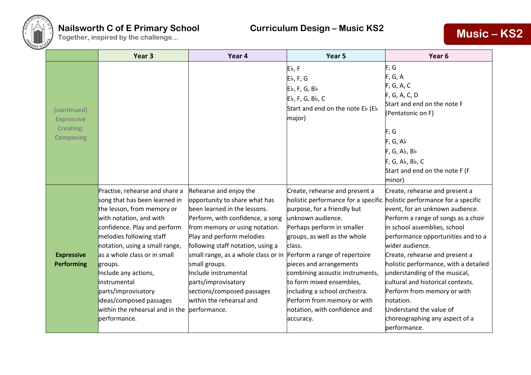

## **Nailsworth C of E Primary School Curriculum Design – Music KS2**

# **Nailsworth C of E Primary School Curriculum Design – Music KS2 <b>Music – KS2**<br>
Together, inspired by the challenge...

|                                                                          | Year <sub>3</sub>                                                                                                                                                                                                                                                                                                                                                                                                                   | Year 4                                                                                                                                                                                                                                                                                                                                                                                           | Year 5                                                                                                                                                                                                                                                                                                                                                                                                                                     | Year 6                                                                                                                                                                                                                                                                                                                                                                                                                                                                                                             |
|--------------------------------------------------------------------------|-------------------------------------------------------------------------------------------------------------------------------------------------------------------------------------------------------------------------------------------------------------------------------------------------------------------------------------------------------------------------------------------------------------------------------------|--------------------------------------------------------------------------------------------------------------------------------------------------------------------------------------------------------------------------------------------------------------------------------------------------------------------------------------------------------------------------------------------------|--------------------------------------------------------------------------------------------------------------------------------------------------------------------------------------------------------------------------------------------------------------------------------------------------------------------------------------------------------------------------------------------------------------------------------------------|--------------------------------------------------------------------------------------------------------------------------------------------------------------------------------------------------------------------------------------------------------------------------------------------------------------------------------------------------------------------------------------------------------------------------------------------------------------------------------------------------------------------|
| (continued)<br><b>Expressive</b><br><b>Creating:</b><br><b>Composing</b> |                                                                                                                                                                                                                                                                                                                                                                                                                                     |                                                                                                                                                                                                                                                                                                                                                                                                  | Eb, F<br>$Eb$ , F, G<br>$Eb$ , F, G, B $b$<br>$Eb$ , F, G, Bb, C<br>Start and end on the note Eb (Eb<br>major)                                                                                                                                                                                                                                                                                                                             | F, G<br>F, G, A<br>F, G, A, C<br>F, G, A, C, D<br>Start and end on the note F<br>(Pentatonic on F)<br>F, G<br>F, G, Ab<br>F, G, Ab, Bb<br>F, G, Ab, Bb, C<br>Start and end on the note F (F<br>minor)                                                                                                                                                                                                                                                                                                              |
| <b>Expressive</b><br><b>Performing</b>                                   | Practise, rehearse and share a<br>song that has been learned in<br>the lesson, from memory or<br>with notation, and with<br>confidence. Play and perform<br>melodies following staff<br>notation, using a small range,<br>as a whole class or in small<br>groups.<br>Include any actions,<br><b>linstrumental</b><br>parts/improvisatory<br>ideas/composed passages<br>within the rehearsal and in the performance.<br>performance. | Rehearse and enjoy the<br>opportunity to share what has<br>been learned in the lessons.<br>Perform, with confidence, a song<br>from memory or using notation.<br>Play and perform melodies<br>following staff notation, using a<br>small range, as a whole class or in<br>small groups.<br>Include instrumental<br>parts/improvisatory<br>sections/composed passages<br>within the rehearsal and | Create, rehearse and present a<br>holistic performance for a specific<br>purpose, for a friendly but<br>unknown audience.<br>Perhaps perform in smaller<br>groups, as well as the whole<br>class.<br>Perform a range of repertoire<br>pieces and arrangements<br>combining acoustic instruments,<br>to form mixed ensembles,<br>including a school orchestra.<br>Perform from memory or with<br>notation, with confidence and<br>accuracy. | Create, rehearse and present a<br>holistic performance for a specific<br>event, for an unknown audience.<br>Perform a range of songs as a choir<br>in school assemblies, school<br>performance opportunities and to a<br>wider audience.<br>Create, rehearse and present a<br>holistic performance, with a detailed<br>understanding of the musical,<br>cultural and historical contexts.<br>Perform from memory or with<br>notation.<br>Understand the value of<br>choreographing any aspect of a<br>performance. |